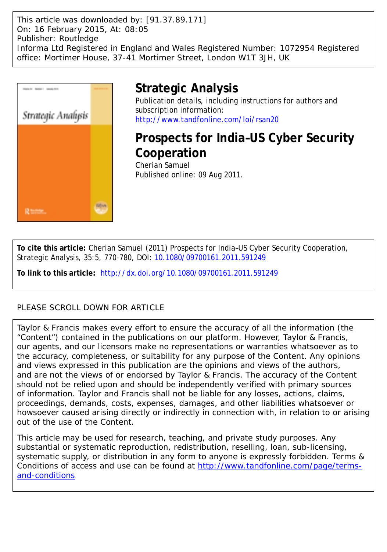This article was downloaded by: [91.37.89.171] On: 16 February 2015, At: 08:05 Publisher: Routledge Informa Ltd Registered in England and Wales Registered Number: 1072954 Registered office: Mortimer House, 37-41 Mortimer Street, London W1T 3JH, UK



## **Strategic Analysis**

Publication details, including instructions for authors and subscription information: <http://www.tandfonline.com/loi/rsan20>

# **Prospects for India–US Cyber Security Cooperation**

Cherian Samuel Published online: 09 Aug 2011.

**To cite this article:** Cherian Samuel (2011) Prospects for India–US Cyber Security Cooperation, Strategic Analysis, 35:5, 770-780, DOI: [10.1080/09700161.2011.591249](http://www.tandfonline.com/action/showCitFormats?doi=10.1080/09700161.2011.591249)

**To link to this article:** <http://dx.doi.org/10.1080/09700161.2011.591249>

### PLEASE SCROLL DOWN FOR ARTICLE

Taylor & Francis makes every effort to ensure the accuracy of all the information (the "Content") contained in the publications on our platform. However, Taylor & Francis, our agents, and our licensors make no representations or warranties whatsoever as to the accuracy, completeness, or suitability for any purpose of the Content. Any opinions and views expressed in this publication are the opinions and views of the authors, and are not the views of or endorsed by Taylor & Francis. The accuracy of the Content should not be relied upon and should be independently verified with primary sources of information. Taylor and Francis shall not be liable for any losses, actions, claims, proceedings, demands, costs, expenses, damages, and other liabilities whatsoever or howsoever caused arising directly or indirectly in connection with, in relation to or arising out of the use of the Content.

This article may be used for research, teaching, and private study purposes. Any substantial or systematic reproduction, redistribution, reselling, loan, sub-licensing, systematic supply, or distribution in any form to anyone is expressly forbidden. Terms & Conditions of access and use can be found at [http://www.tandfonline.com/page/terms](http://www.tandfonline.com/page/terms-and-conditions)[and-conditions](http://www.tandfonline.com/page/terms-and-conditions)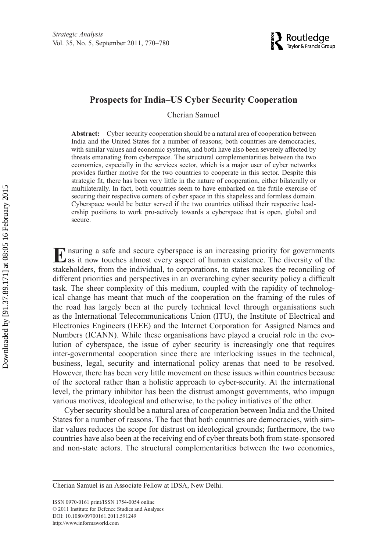

### **Prospects for India–US Cyber Security Cooperation**

Cherian Samuel

**Abstract:** Cyber security cooperation should be a natural area of cooperation between India and the United States for a number of reasons; both countries are democracies, with similar values and economic systems, and both have also been severely affected by threats emanating from cyberspace. The structural complementarities between the two economies, especially in the services sector, which is a major user of cyber networks provides further motive for the two countries to cooperate in this sector. Despite this strategic fit, there has been very little in the nature of cooperation, either bilaterally or multilaterally. In fact, both countries seem to have embarked on the futile exercise of securing their respective corners of cyber space in this shapeless and formless domain. Cyberspace would be better served if the two countries utilised their respective leadership positions to work pro-actively towards a cyberspace that is open, global and secure.

**E**nsuring a safe and secure cyberspace is an increasing priority for governments as it now touches almost every aspect of human existence. The diversity of the stakeholders, from the individual, to corporations, to states makes the reconciling of different priorities and perspectives in an overarching cyber security policy a difficult task. The sheer complexity of this medium, coupled with the rapidity of technological change has meant that much of the cooperation on the framing of the rules of the road has largely been at the purely technical level through organisations such as the International Telecommunications Union (ITU), the Institute of Electrical and Electronics Engineers (IEEE) and the Internet Corporation for Assigned Names and Numbers (ICANN). While these organisations have played a crucial role in the evolution of cyberspace, the issue of cyber security is increasingly one that requires inter-governmental cooperation since there are interlocking issues in the technical, business, legal, security and international policy arenas that need to be resolved. However, there has been very little movement on these issues within countries because of the sectoral rather than a holistic approach to cyber-security. At the international level, the primary inhibitor has been the distrust amongst governments, who impugn various motives, ideological and otherwise, to the policy initiatives of the other.

Cyber security should be a natural area of cooperation between India and the United States for a number of reasons. The fact that both countries are democracies, with similar values reduces the scope for distrust on ideological grounds; furthermore, the two countries have also been at the receiving end of cyber threats both from state-sponsored and non-state actors. The structural complementarities between the two economies,

ISSN 0970-0161 print/ISSN 1754-0054 online © 2011 Institute for Defence Studies and Analyses DOI: 10.1080/09700161.2011.591249 http://www.informaworld.com

Cherian Samuel is an Associate Fellow at IDSA, New Delhi.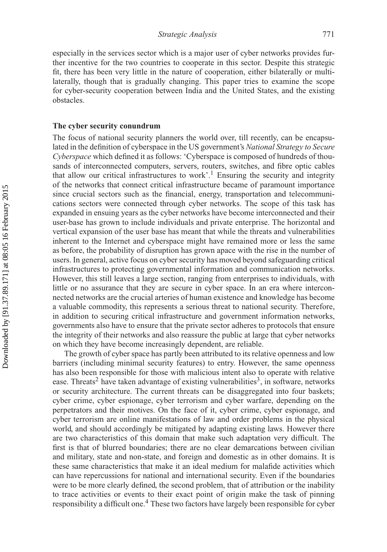especially in the services sector which is a major user of cyber networks provides further incentive for the two countries to cooperate in this sector. Despite this strategic fit, there has been very little in the nature of cooperation, either bilaterally or multilaterally, though that is gradually changing. This paper tries to examine the scope for cyber-security cooperation between India and the United States, and the existing obstacles.

#### **The cyber security conundrum**

The focus of national security planners the world over, till recently, can be encapsulated in the definition of cyberspace in the US government's *National Strategy to Secure Cyberspace* which defined it as follows: 'Cyberspace is composed of hundreds of thousands of interconnected computers, servers, routers, switches, and fibre optic cables that allow our critical infrastructures to work'.<sup>1</sup> Ensuring the security and integrity of the networks that connect critical infrastructure became of paramount importance since crucial sectors such as the financial, energy, transportation and telecommunications sectors were connected through cyber networks. The scope of this task has expanded in ensuing years as the cyber networks have become interconnected and their user-base has grown to include individuals and private enterprise. The horizontal and vertical expansion of the user base has meant that while the threats and vulnerabilities inherent to the Internet and cyberspace might have remained more or less the same as before, the probability of disruption has grown apace with the rise in the number of users. In general, active focus on cyber security has moved beyond safeguarding critical infrastructures to protecting governmental information and communication networks. However, this still leaves a large section, ranging from enterprises to individuals, with little or no assurance that they are secure in cyber space. In an era where interconnected networks are the crucial arteries of human existence and knowledge has become a valuable commodity, this represents a serious threat to national security. Therefore, in addition to securing critical infrastructure and government information networks, governments also have to ensure that the private sector adheres to protocols that ensure the integrity of their networks and also reassure the public at large that cyber networks on which they have become increasingly dependent, are reliable.

The growth of cyber space has partly been attributed to its relative openness and low barriers (including minimal security features) to entry. However, the same openness has also been responsible for those with malicious intent also to operate with relative ease. Threats<sup>2</sup> have taken advantage of existing vulnerabilities<sup>3</sup>, in software, networks or security architecture. The current threats can be disaggregated into four baskets; cyber crime, cyber espionage, cyber terrorism and cyber warfare, depending on the perpetrators and their motives. On the face of it, cyber crime, cyber espionage, and cyber terrorism are online manifestations of law and order problems in the physical world, and should accordingly be mitigated by adapting existing laws. However there are two characteristics of this domain that make such adaptation very difficult. The first is that of blurred boundaries; there are no clear demarcations between civilian and military, state and non-state, and foreign and domestic as in other domains. It is these same characteristics that make it an ideal medium for malafide activities which can have repercussions for national and international security. Even if the boundaries were to be more clearly defined, the second problem, that of attribution or the inability to trace activities or events to their exact point of origin make the task of pinning responsibility a difficult one.<sup>4</sup> These two factors have largely been responsible for cyber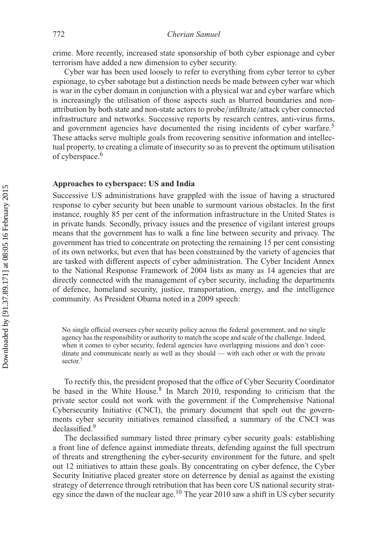crime. More recently, increased state sponsorship of both cyber espionage and cyber terrorism have added a new dimension to cyber security.

Cyber war has been used loosely to refer to everything from cyber terror to cyber espionage, to cyber sabotage but a distinction needs be made between cyber war which is war in the cyber domain in conjunction with a physical war and cyber warfare which is increasingly the utilisation of those aspects such as blurred boundaries and nonattribution by both state and non-state actors to probe*/*infiltrate*/*attack cyber connected infrastructure and networks. Successive reports by research centres, anti-virus firms, and government agencies have documented the rising incidents of cyber warfare.<sup>5</sup> These attacks serve multiple goals from recovering sensitive information and intellectual property, to creating a climate of insecurity so as to prevent the optimum utilisation of cyberspace.<sup>6</sup>

#### **Approaches to cyberspace: US and India**

Successive US administrations have grappled with the issue of having a structured response to cyber security but been unable to surmount various obstacles. In the first instance, roughly 85 per cent of the information infrastructure in the United States is in private hands. Secondly, privacy issues and the presence of vigilant interest groups means that the government has to walk a fine line between security and privacy. The government has tried to concentrate on protecting the remaining 15 per cent consisting of its own networks, but even that has been constrained by the variety of agencies that are tasked with different aspects of cyber administration. The Cyber Incident Annex to the National Response Framework of 2004 lists as many as 14 agencies that are directly connected with the management of cyber security, including the departments of defence, homeland security, justice, transportation, energy, and the intelligence community. As President Obama noted in a 2009 speech:

No single official oversees cyber security policy across the federal government, and no single agency has the responsibility or authority to match the scope and scale of the challenge. Indeed, when it comes to cyber security, federal agencies have overlapping missions and don't coordinate and communicate nearly as well as they should — with each other or with the private sector.<sup>7</sup>

To rectify this, the president proposed that the office of Cyber Security Coordinator be based in the White House.<sup>8</sup> In March 2010, responding to criticism that the private sector could not work with the government if the Comprehensive National Cybersecurity Initiative (CNCI), the primary document that spelt out the governments cyber security initiatives remained classified, a summary of the CNCI was declassified.<sup>9</sup>

The declassified summary listed three primary cyber security goals: establishing a front line of defence against immediate threats, defending against the full spectrum of threats and strengthening the cyber-security environment for the future, and spelt out 12 initiatives to attain these goals. By concentrating on cyber defence, the Cyber Security Initiative placed greater store on deterrence by denial as against the existing strategy of deterrence through retribution that has been core US national security strategy since the dawn of the nuclear age.<sup>10</sup> The year 2010 saw a shift in US cyber security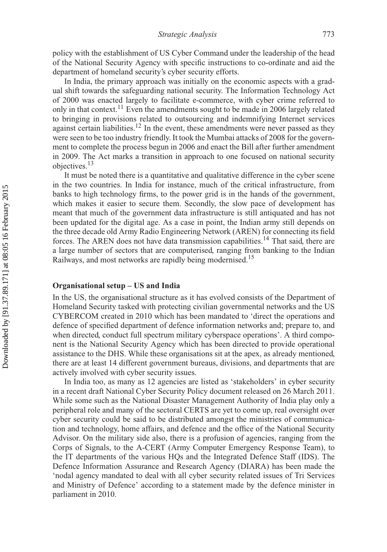policy with the establishment of US Cyber Command under the leadership of the head of the National Security Agency with specific instructions to co-ordinate and aid the department of homeland security's cyber security efforts.

In India, the primary approach was initially on the economic aspects with a gradual shift towards the safeguarding national security. The Information Technology Act of 2000 was enacted largely to facilitate e-commerce, with cyber crime referred to only in that context.<sup>11</sup> Even the amendments sought to be made in 2006 largely related to bringing in provisions related to outsourcing and indemnifying Internet services against certain liabilities.<sup>12</sup> In the event, these amendments were never passed as they were seen to be too industry friendly. It took the Mumbai attacks of 2008 for the government to complete the process begun in 2006 and enact the Bill after further amendment in 2009. The Act marks a transition in approach to one focused on national security objectives.<sup>13</sup>

It must be noted there is a quantitative and qualitative difference in the cyber scene in the two countries. In India for instance, much of the critical infrastructure, from banks to high technology firms, to the power grid is in the hands of the government, which makes it easier to secure them. Secondly, the slow pace of development has meant that much of the government data infrastructure is still antiquated and has not been updated for the digital age. As a case in point, the Indian army still depends on the three decade old Army Radio Engineering Network (AREN) for connecting its field forces. The AREN does not have data transmission capabilities.<sup>14</sup> That said, there are a large number of sectors that are computerised, ranging from banking to the Indian Railways, and most networks are rapidly being modernised.<sup>15</sup>

#### **Organisational setup – US and India**

In the US, the organisational structure as it has evolved consists of the Department of Homeland Security tasked with protecting civilian governmental networks and the US CYBERCOM created in 2010 which has been mandated to 'direct the operations and defence of specified department of defence information networks and; prepare to, and when directed, conduct full spectrum military cyberspace operations'. A third component is the National Security Agency which has been directed to provide operational assistance to the DHS. While these organisations sit at the apex, as already mentioned, there are at least 14 different government bureaus, divisions, and departments that are actively involved with cyber security issues.

In India too, as many as 12 agencies are listed as 'stakeholders' in cyber security in a recent draft National Cyber Security Policy document released on 26 March 2011. While some such as the National Disaster Management Authority of India play only a peripheral role and many of the sectoral CERTS are yet to come up, real oversight over cyber security could be said to be distributed amongst the ministries of communication and technology, home affairs, and defence and the office of the National Security Advisor. On the military side also, there is a profusion of agencies, ranging from the Corps of Signals, to the A-CERT (Army Computer Emergency Response Team), to the IT departments of the various HQs and the Integrated Defence Staff (IDS). The Defence Information Assurance and Research Agency (DIARA) has been made the 'nodal agency mandated to deal with all cyber security related issues of Tri Services and Ministry of Defence' according to a statement made by the defence minister in parliament in 2010.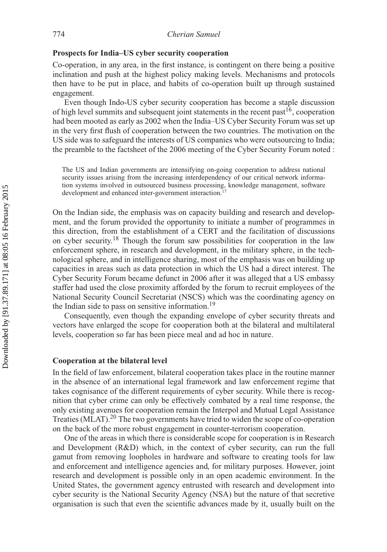#### **Prospects for India–US cyber security cooperation**

Co-operation, in any area, in the first instance, is contingent on there being a positive inclination and push at the highest policy making levels. Mechanisms and protocols then have to be put in place, and habits of co-operation built up through sustained engagement.

Even though Indo-US cyber security cooperation has become a staple discussion of high level summits and subsequent joint statements in the recent past $16$ , cooperation had been mooted as early as 2002 when the India–US Cyber Security Forum was set up in the very first flush of cooperation between the two countries. The motivation on the US side was to safeguard the interests of US companies who were outsourcing to India; the preamble to the factsheet of the 2006 meeting of the Cyber Security Forum noted :

The US and Indian governments are intensifying on-going cooperation to address national security issues arising from the increasing interdependency of our critical network information systems involved in outsourced business processing, knowledge management, software development and enhanced inter-government interaction.<sup>17</sup>

On the Indian side, the emphasis was on capacity building and research and development, and the forum provided the opportunity to initiate a number of programmes in this direction, from the establishment of a CERT and the facilitation of discussions on cyber security.<sup>18</sup> Though the forum saw possibilities for cooperation in the law enforcement sphere, in research and development, in the military sphere, in the technological sphere, and in intelligence sharing, most of the emphasis was on building up capacities in areas such as data protection in which the US had a direct interest. The Cyber Security Forum became defunct in 2006 after it was alleged that a US embassy staffer had used the close proximity afforded by the forum to recruit employees of the National Security Council Secretariat (NSCS) which was the coordinating agency on the Indian side to pass on sensitive information.<sup>19</sup>

Consequently, even though the expanding envelope of cyber security threats and vectors have enlarged the scope for cooperation both at the bilateral and multilateral levels, cooperation so far has been piece meal and ad hoc in nature.

#### **Cooperation at the bilateral level**

In the field of law enforcement, bilateral cooperation takes place in the routine manner in the absence of an international legal framework and law enforcement regime that takes cognisance of the different requirements of cyber security. While there is recognition that cyber crime can only be effectively combated by a real time response, the only existing avenues for cooperation remain the Interpol and Mutual Legal Assistance Treaties (MLAT).<sup>20</sup> The two governments have tried to widen the scope of co-operation on the back of the more robust engagement in counter-terrorism cooperation.

One of the areas in which there is considerable scope for cooperation is in Research and Development (R&D) which, in the context of cyber security, can run the full gamut from removing loopholes in hardware and software to creating tools for law and enforcement and intelligence agencies and, for military purposes. However, joint research and development is possible only in an open academic environment. In the United States, the government agency entrusted with research and development into cyber security is the National Security Agency (NSA) but the nature of that secretive organisation is such that even the scientific advances made by it, usually built on the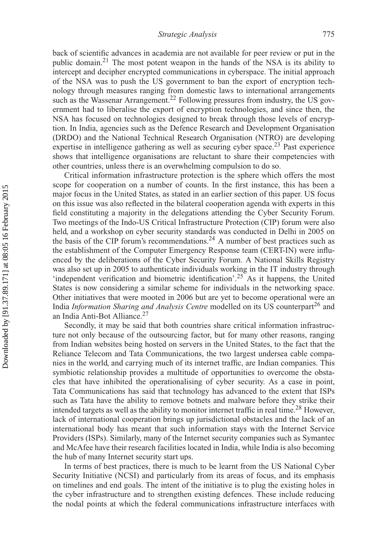back of scientific advances in academia are not available for peer review or put in the public domain.<sup>21</sup> The most potent weapon in the hands of the NSA is its ability to intercept and decipher encrypted communications in cyberspace. The initial approach of the NSA was to push the US government to ban the export of encryption technology through measures ranging from domestic laws to international arrangements such as the Wassenar Arrangement.<sup>22</sup> Following pressures from industry, the US government had to liberalise the export of encryption technologies, and since then, the NSA has focused on technologies designed to break through those levels of encryption. In India, agencies such as the Defence Research and Development Organisation (DRDO) and the National Technical Research Organisation (NTRO) are developing expertise in intelligence gathering as well as securing cyber space.<sup>23</sup> Past experience shows that intelligence organisations are reluctant to share their competencies with other countries, unless there is an overwhelming compulsion to do so.

Critical information infrastructure protection is the sphere which offers the most scope for cooperation on a number of counts. In the first instance, this has been a major focus in the United States, as stated in an earlier section of this paper. US focus on this issue was also reflected in the bilateral cooperation agenda with experts in this field constituting a majority in the delegations attending the Cyber Security Forum. Two meetings of the Indo-US Critical Infrastructure Protection (CIP) forum were also held, and a workshop on cyber security standards was conducted in Delhi in 2005 on the basis of the CIP forum's recommendations.<sup>24</sup> A number of best practices such as the establishment of the Computer Emergency Response team (CERT-IN) were influenced by the deliberations of the Cyber Security Forum. A National Skills Registry was also set up in 2005 to authenticate individuals working in the IT industry through 'independent verification and biometric identification'.<sup>25</sup> As it happens, the United States is now considering a similar scheme for individuals in the networking space. Other initiatives that were mooted in 2006 but are yet to become operational were an India *Information Sharing and Analysis Centre* modelled on its US counterpart<sup>26</sup> and an India Anti-Bot Alliance.<sup>27</sup>

Secondly, it may be said that both countries share critical information infrastructure not only because of the outsourcing factor, but for many other reasons, ranging from Indian websites being hosted on servers in the United States, to the fact that the Reliance Telecom and Tata Communications, the two largest undersea cable companies in the world, and carrying much of its internet traffic, are Indian companies. This symbiotic relationship provides a multitude of opportunities to overcome the obstacles that have inhibited the operationalising of cyber security. As a case in point, Tata Communications has said that technology has advanced to the extent that ISPs such as Tata have the ability to remove botnets and malware before they strike their intended targets as well as the ability to monitor internet traffic in real time.<sup>28</sup> However, lack of international cooperation brings up jurisdictional obstacles and the lack of an international body has meant that such information stays with the Internet Service Providers (ISPs). Similarly, many of the Internet security companies such as Symantec and McAfee have their research facilities located in India, while India is also becoming the hub of many Internet security start ups.

In terms of best practices, there is much to be learnt from the US National Cyber Security Initiative (NCSI) and particularly from its areas of focus, and its emphasis on timelines and end goals. The intent of the initiative is to plug the existing holes in the cyber infrastructure and to strengthen existing defences. These include reducing the nodal points at which the federal communications infrastructure interfaces with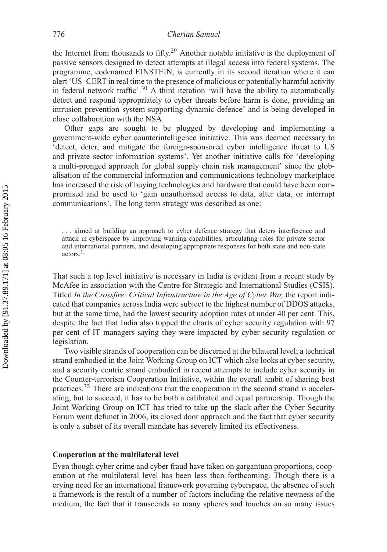the Internet from thousands to fifty.<sup>29</sup> Another notable initiative is the deployment of passive sensors designed to detect attempts at illegal access into federal systems. The programme, codenamed EINSTEIN, is currently in its second iteration where it can alert 'US–CERT in real time to the presence of malicious or potentially harmful activity in federal network traffic'.<sup>30</sup> A third iteration 'will have the ability to automatically detect and respond appropriately to cyber threats before harm is done, providing an intrusion prevention system supporting dynamic defence' and is being developed in close collaboration with the NSA.

Other gaps are sought to be plugged by developing and implementing a government-wide cyber counterintelligence initiative. This was deemed necessary to 'detect, deter, and mitigate the foreign-sponsored cyber intelligence threat to US and private sector information systems'. Yet another initiative calls for 'developing a multi-pronged approach for global supply chain risk management' since the globalisation of the commercial information and communications technology marketplace has increased the risk of buying technologies and hardware that could have been compromised and be used to 'gain unauthorised access to data, alter data, or interrupt communications'. The long term strategy was described as one:

*...* aimed at building an approach to cyber defence strategy that deters interference and attack in cyberspace by improving warning capabilities, articulating roles for private sector and international partners, and developing appropriate responses for both state and non-state actors.31

That such a top level initiative is necessary in India is evident from a recent study by McAfee in association with the Centre for Strategic and International Studies (CSIS). Titled *In the Crossfire: Critical Infrastructure in the Age of Cyber War,* the report indicated that companies across India were subject to the highest number of DDOS attacks, but at the same time, had the lowest security adoption rates at under 40 per cent. This, despite the fact that India also topped the charts of cyber security regulation with 97 per cent of IT managers saying they were impacted by cyber security regulation or legislation.

Two visible strands of cooperation can be discerned at the bilateral level; a technical strand embodied in the Joint Working Group on ICT which also looks at cyber security, and a security centric strand embodied in recent attempts to include cyber security in the Counter-terrorism Cooperation Initiative, within the overall ambit of sharing best practices.<sup>32</sup> There are indications that the cooperation in the second strand is accelerating, but to succeed, it has to be both a calibrated and equal partnership. Though the Joint Working Group on ICT has tried to take up the slack after the Cyber Security Forum went defunct in 2006, its closed door approach and the fact that cyber security is only a subset of its overall mandate has severely limited its effectiveness.

#### **Cooperation at the multilateral level**

Even though cyber crime and cyber fraud have taken on gargantuan proportions, cooperation at the multilateral level has been less than forthcoming. Though there is a crying need for an international framework governing cyberspace, the absence of such a framework is the result of a number of factors including the relative newness of the medium, the fact that it transcends so many spheres and touches on so many issues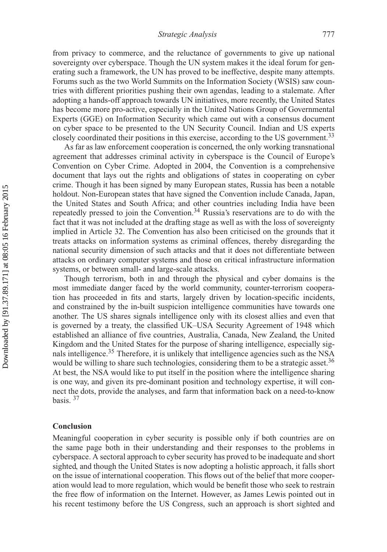from privacy to commerce, and the reluctance of governments to give up national sovereignty over cyberspace. Though the UN system makes it the ideal forum for generating such a framework, the UN has proved to be ineffective, despite many attempts. Forums such as the two World Summits on the Information Society (WSIS) saw countries with different priorities pushing their own agendas, leading to a stalemate. After adopting a hands-off approach towards UN initiatives, more recently, the United States has become more pro-active, especially in the United Nations Group of Governmental Experts (GGE) on Information Security which came out with a consensus document on cyber space to be presented to the UN Security Council. Indian and US experts closely coordinated their positions in this exercise, according to the US government.<sup>33</sup>

As far as law enforcement cooperation is concerned, the only working transnational agreement that addresses criminal activity in cyberspace is the Council of Europe's Convention on Cyber Crime. Adopted in 2004, the Convention is a comprehensive document that lays out the rights and obligations of states in cooperating on cyber crime. Though it has been signed by many European states, Russia has been a notable holdout. Non-European states that have signed the Convention include Canada, Japan, the United States and South Africa; and other countries including India have been repeatedly pressed to join the Convention.<sup>34</sup> Russia's reservations are to do with the fact that it was not included at the drafting stage as well as with the loss of sovereignty implied in Article 32. The Convention has also been criticised on the grounds that it treats attacks on information systems as criminal offences, thereby disregarding the national security dimension of such attacks and that it does not differentiate between attacks on ordinary computer systems and those on critical infrastructure information systems, or between small- and large-scale attacks.

Though terrorism, both in and through the physical and cyber domains is the most immediate danger faced by the world community, counter-terrorism cooperation has proceeded in fits and starts, largely driven by location-specific incidents, and constrained by the in-built suspicion intelligence communities have towards one another. The US shares signals intelligence only with its closest allies and even that is governed by a treaty, the classified UK–USA Security Agreement of 1948 which established an alliance of five countries, Australia, Canada, New Zealand, the United Kingdom and the United States for the purpose of sharing intelligence, especially signals intelligence.<sup>35</sup> Therefore, it is unlikely that intelligence agencies such as the NSA would be willing to share such technologies, considering them to be a strategic asset.<sup>36</sup> At best, the NSA would like to put itself in the position where the intelligence sharing is one way, and given its pre-dominant position and technology expertise, it will connect the dots, provide the analyses, and farm that information back on a need-to-know basis. <sup>37</sup>

#### **Conclusion**

Meaningful cooperation in cyber security is possible only if both countries are on the same page both in their understanding and their responses to the problems in cyberspace. A sectoral approach to cyber security has proved to be inadequate and short sighted, and though the United States is now adopting a holistic approach, it falls short on the issue of international cooperation. This flows out of the belief that more cooperation would lead to more regulation, which would be benefit those who seek to restrain the free flow of information on the Internet. However, as James Lewis pointed out in his recent testimony before the US Congress, such an approach is short sighted and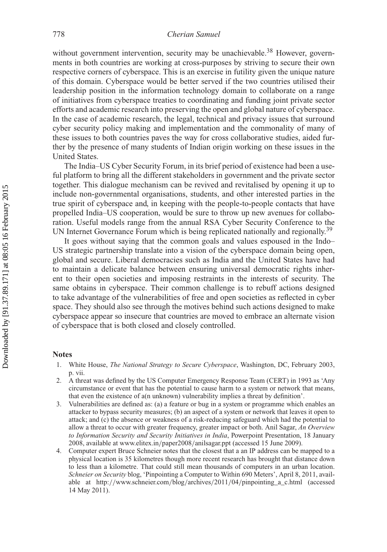without government intervention, security may be unachievable.<sup>38</sup> However, governments in both countries are working at cross-purposes by striving to secure their own respective corners of cyberspace. This is an exercise in futility given the unique nature of this domain. Cyberspace would be better served if the two countries utilised their leadership position in the information technology domain to collaborate on a range of initiatives from cyberspace treaties to coordinating and funding joint private sector efforts and academic research into preserving the open and global nature of cyberspace. In the case of academic research, the legal, technical and privacy issues that surround cyber security policy making and implementation and the commonality of many of these issues to both countries paves the way for cross collaborative studies, aided further by the presence of many students of Indian origin working on these issues in the United States.

The India–US Cyber Security Forum, in its brief period of existence had been a useful platform to bring all the different stakeholders in government and the private sector together. This dialogue mechanism can be revived and revitalised by opening it up to include non-governmental organisations, students, and other interested parties in the true spirit of cyberspace and, in keeping with the people-to-people contacts that have propelled India–US cooperation, would be sure to throw up new avenues for collaboration. Useful models range from the annual RSA Cyber Security Conference to the UN Internet Governance Forum which is being replicated nationally and regionally.<sup>39</sup>

It goes without saying that the common goals and values espoused in the Indo– US strategic partnership translate into a vision of the cyberspace domain being open, global and secure. Liberal democracies such as India and the United States have had to maintain a delicate balance between ensuring universal democratic rights inherent to their open societies and imposing restraints in the interests of security. The same obtains in cyberspace. Their common challenge is to rebuff actions designed to take advantage of the vulnerabilities of free and open societies as reflected in cyber space. They should also see through the motives behind such actions designed to make cyberspace appear so insecure that countries are moved to embrace an alternate vision of cyberspace that is both closed and closely controlled.

#### **Notes**

- 1. White House, *The National Strategy to Secure Cyberspace*, Washington, DC, February 2003, p. vii.
- 2. A threat was defined by the US Computer Emergency Response Team (CERT) in 1993 as 'Any circumstance or event that has the potential to cause harm to a system or network that means, that even the existence of a(n unknown) vulnerability implies a threat by definition'.
- 3. Vulnerabilities are defined as: (a) a feature or bug in a system or programme which enables an attacker to bypass security measures; (b) an aspect of a system or network that leaves it open to attack; and (c) the absence or weakness of a risk-reducing safeguard which had the potential to allow a threat to occur with greater frequency, greater impact or both. Anil Sagar, *An Overview to Information Security and Security Initiatives in India*, Powerpoint Presentation, 18 January 2008, available at www.elitex.in*/*paper2008*/*anilsagar.ppt (accessed 15 June 2009).
- 4. Computer expert Bruce Schneier notes that the closest that a an IP address can be mapped to a physical location is 35 kilometres though more recent research has brought that distance down to less than a kilometre. That could still mean thousands of computers in an urban location. *Schneier on Security* blog, 'Pinpointing a Computer to Within 690 Meters', April 8, 2011, available at http:*//*www.schneier.com*/*blog*/*archives*/*2011*/*04*/*pinpointing\_a\_c.html (accessed 14 May 2011).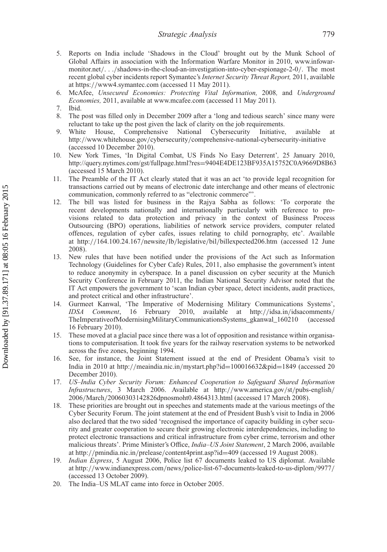- 5. Reports on India include 'Shadows in the Cloud' brought out by the Munk School of Global Affairs in association with the Information Warfare Monitor in 2010[, www.infowar](www.infowarmonitor.net/. . ./shadows-in-the-cloud-an-investigation-into-cyber-espionage-2-0/)monitor.net*/. . ./*[shadows-in-the-cloud-an-investigation-into-cyber-espionage-2-0](www.infowarmonitor.net/. . ./shadows-in-the-cloud-an-investigation-into-cyber-espionage-2-0/)*/*. The most recent global cyber incidents report Symantec's *Internet Security Threat Report,* 2011, available at https:*//*www4.symantec.com (accessed 11 May 2011).
- 6. McAfee, *Unsecured Economies: Protecting Vital Information,* 2008*,* and *Underground Economies,* 2011, available at www.mcafee.com (accessed 11 May 2011).
- 7. Ibid.
- 8. The post was filled only in December 2009 after a 'long and tedious search' since many were reluctant to take up the post given the lack of clarity on the job requirements.
- 9. White House, Comprehensive National Cybersecurity Initiative, available http:*/*/www.whitehouse.gov*/*cybersecurity*/*comprehensive-national-cybersecurity-initiative (accessed 10 December 2010).
- 10. New York Times, 'In Digital Combat, US Finds No Easy Deterrent'*,* 25 January 2010, http://query.nytimes.com/gst/fullpage.html?res=9404E4DE123BF935A15752C0A9669D8B63 (accessed 15 March 2010).
- 11. The Preamble of the IT Act clearly stated that it was an act 'to provide legal recognition for transactions carried out by means of electronic date interchange and other means of electronic communication, commonly referred to as "electronic commerce"'.
- 12. The bill was listed for business in the Rajya Sabha as follows: 'To corporate the recent developments nationally and internationally particularly with reference to provisions related to data protection and privacy in the context of Business Process Outsourcing (BPO) operations, liabilities of network service providers, computer related offences, regulation of cyber cafes, issues relating to child pornography, etc'. Available at http:*//*164.100.24.167*/*newsite*/*lb*/*legislative*/*bil*/*billexpected206.htm (accessed 12 June 2008).
- 13. New rules that have been notified under the provisions of the Act such as Information Technology (Guidelines for Cyber Cafe) Rules, 2011, also emphasise the government's intent to reduce anonymity in cyberspace. In a panel discussion on cyber security at the Munich Security Conference in February 2011, the Indian National Security Advisor noted that the IT Act empowers the government to 'scan Indian cyber space, detect incidents, audit practices, and protect critical and other infrastructure'.
- 14. Gurmeet Kanwal, 'The Imperative of Modernising Military Communications Systems', *IDSA Comment*, 16 February 2010, available at http:*//*idsa.in*/*[idsacomments](http://idsa.in/idsacomments/TheImperativeofModernisingMilitaryCommunicationsSystems_gkanwal_160210)*/* [TheImperativeofModernisingMilitaryCommunicationsSystems\\_gkanwal\\_160210](http://idsa.in/idsacomments/TheImperativeofModernisingMilitaryCommunicationsSystems_gkanwal_160210) (accessed 16 February 2010).
- 15. These moved at a glacial pace since there was a lot of opposition and resistance within organisations to computerisation. It took five years for the railway reservation systems to be networked across the five zones, beginning 1994.
- 16. See, for instance, the Joint Statement issued at the end of President Obama's visit to India in 2010 at http:*//*meaindia.nic.in*/*mystart.php?id=100016632&pid=1849 (accessed 20 December 2010).
- 17. *US–India Cyber Security Forum: Enhanced Cooperation to Safeguard Shared Information Infrastructures*, 3 March 2006. Available at http:*//*[www.america.gov](http://www.america.gov/st/pubs-english/2006/March/20060303142826dpnosmoht0.4864313.html)*/*st*/*pubs-english*/* 2006*/*March*/*[20060303142826dpnosmoht0.4864313.html](http://www.america.gov/st/pubs-english/2006/March/20060303142826dpnosmoht0.4864313.html) (accessed 17 March 2008).
- 18. These priorities are brought out in speeches and statements made at the various meetings of the Cyber Security Forum. The joint statement at the end of President Bush's visit to India in 2006 also declared that the two sided 'recognised the importance of capacity building in cyber security and greater cooperation to secure their growing electronic interdependencies, including to protect electronic transactions and critical infrastructure from cyber crime, terrorism and other malicious threats'. Prime Minister's Office, *India–US Joint Statement*, 2 March 2006, available at http:*//*pmindia.nic.in*/*prelease*/*content4print.asp?id=409 (accessed 19 August 2008).
- 19. *Indian Express*, 5 August 2006, Police list 67 documents leaked to US diplomat. Available at http:*//*www.indianexpress.com*/*news*/*police-list-67-documents-leaked-to-us-diplom*/*9977*/* (accessed 13 October 2009).
- 20. The India–US MLAT came into force in October 2005.